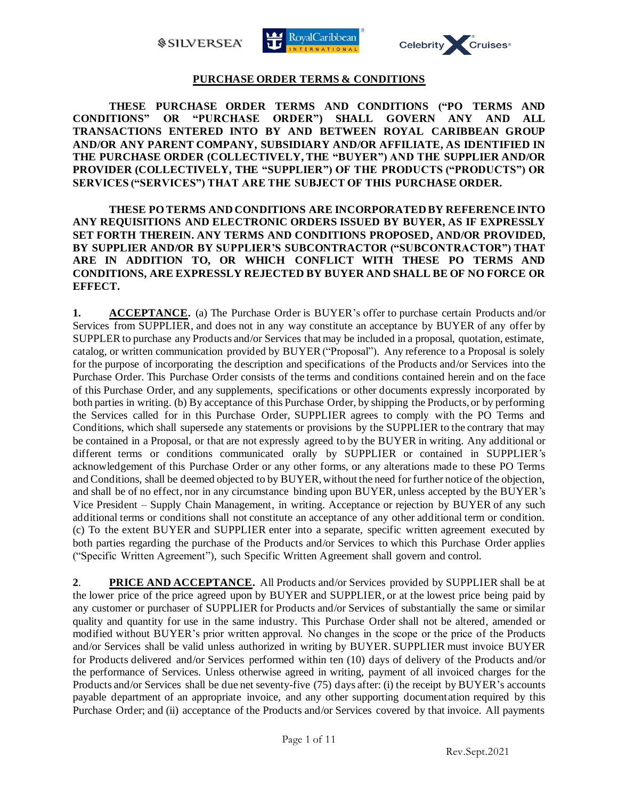*SILVERSEA* 





## **PURCHASE ORDER TERMS & CONDITIONS**

**THESE PURCHASE ORDER TERMS AND CONDITIONS ("PO TERMS AND CONDITIONS" OR "PURCHASE ORDER") SHALL GOVERN ANY AND ALL TRANSACTIONS ENTERED INTO BY AND BETWEEN ROYAL CARIBBEAN GROUP AND/OR ANY PARENT COMPANY, SUBSIDIARY AND/OR AFFILIATE, AS IDENTIFIED IN THE PURCHASE ORDER (COLLECTIVELY, THE "BUYER") AND THE SUPPLIER AND/OR PROVIDER (COLLECTIVELY, THE "SUPPLIER") OF THE PRODUCTS ("PRODUCTS") OR SERVICES ("SERVICES") THAT ARE THE SUBJECT OF THIS PURCHASE ORDER.**

**THESE PO TERMS AND CONDITIONS ARE INCORPORATED BY REFERENCE INTO ANY REQUISITIONS AND ELECTRONIC ORDERS ISSUED BY BUYER, AS IF EXPRESSLY SET FORTH THEREIN. ANY TERMS AND CONDITIONS PROPOSED, AND/OR PROVIDED, BY SUPPLIER AND/OR BY SUPPLIER'S SUBCONTRACTOR ("SUBCONTRACTOR") THAT ARE IN ADDITION TO, OR WHICH CONFLICT WITH THESE PO TERMS AND CONDITIONS, ARE EXPRESSLY REJECTED BY BUYER AND SHALL BE OF NO FORCE OR EFFECT.**

**1. ACCEPTANCE.** (a) The Purchase Order is BUYER's offer to purchase certain Products and/or Services from SUPPLIER, and does not in any way constitute an acceptance by BUYER of any offer by SUPPLER to purchase any Products and/or Services that may be included in a proposal, quotation, estimate, catalog, or written communication provided by BUYER("Proposal"). Any reference to a Proposal is solely for the purpose of incorporating the description and specifications of the Products and/or Services into the Purchase Order. This Purchase Order consists of the terms and conditions contained herein and on the face of this Purchase Order, and any supplements, specifications or other documents expressly incorporated by both parties in writing. (b) By acceptance of this Purchase Order, by shipping the Products, or by performing the Services called for in this Purchase Order, SUPPLIER agrees to comply with the PO Terms and Conditions, which shall supersede any statements or provisions by the SUPPLIER to the contrary that may be contained in a Proposal, or that are not expressly agreed to by the BUYER in writing. Any additional or different terms or conditions communicated orally by SUPPLIER or contained in SUPPLIER's acknowledgement of this Purchase Order or any other forms, or any alterations made to these PO Terms and Conditions, shall be deemed objected to by BUYER,without the need for further notice of the objection, and shall be of no effect, nor in any circumstance binding upon BUYER, unless accepted by the BUYER's Vice President – Supply Chain Management, in writing. Acceptance or rejection by BUYER of any such additional terms or conditions shall not constitute an acceptance of any other additional term or condition. (c) To the extent BUYER and SUPPLIER enter into a separate, specific written agreement executed by both parties regarding the purchase of the Products and/or Services to which this Purchase Order applies ("Specific Written Agreement"), such Specific Written Agreement shall govern and control.

**2**. **PRICE AND ACCEPTANCE.** All Products and/or Services provided by SUPPLIER shall be at the lower price of the price agreed upon by BUYER and SUPPLIER, or at the lowest price being paid by any customer or purchaser of SUPPLIER for Products and/or Services of substantially the same or similar quality and quantity for use in the same industry. This Purchase Order shall not be altered, amended or modified without BUYER's prior written approval. No changes in the scope or the price of the Products and/or Services shall be valid unless authorized in writing by BUYER. SUPPLIER must invoice BUYER for Products delivered and/or Services performed within ten (10) days of delivery of the Products and/or the performance of Services. Unless otherwise agreed in writing, payment of all invoiced charges for the Products and/or Services shall be due net seventy-five (75) days after: (i) the receipt by BUYER's accounts payable department of an appropriate invoice, and any other supporting documentation required by this Purchase Order; and (ii) acceptance of the Products and/or Services covered by that invoice. All payments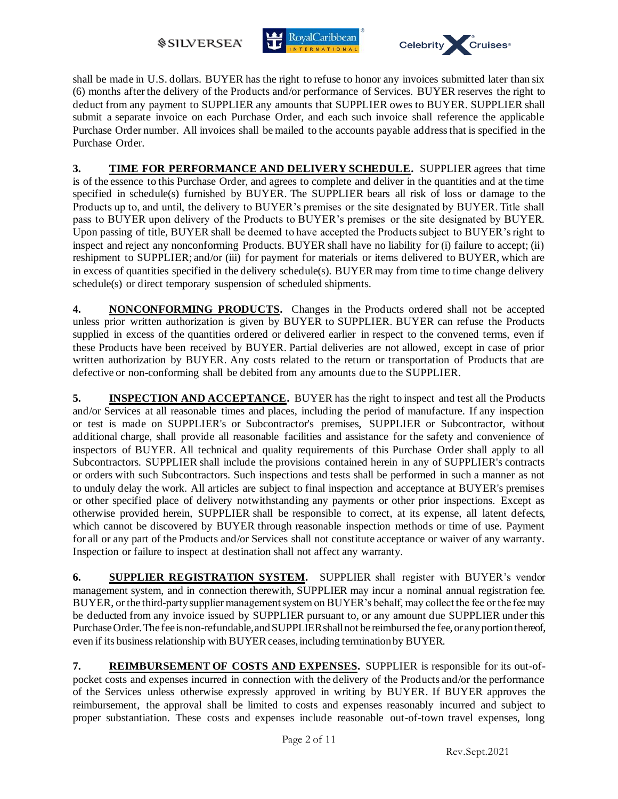*SILVERSEA* 





shall be made in U.S. dollars. BUYER has the right to refuse to honor any invoices submitted later than six (6) months after the delivery of the Products and/or performance of Services. BUYER reserves the right to deduct from any payment to SUPPLIER any amounts that SUPPLIER owes to BUYER. SUPPLIER shall submit a separate invoice on each Purchase Order, and each such invoice shall reference the applicable Purchase Order number. All invoices shall be mailed to the accounts payable address that is specified in the Purchase Order.

**3. TIME FOR PERFORMANCE AND DELIVERY SCHEDULE.** SUPPLIER agrees that time is of the essence to this Purchase Order, and agrees to complete and deliver in the quantities and at the time specified in schedule(s) furnished by BUYER. The SUPPLIER bears all risk of loss or damage to the Products up to, and until, the delivery to BUYER's premises or the site designated by BUYER. Title shall pass to BUYER upon delivery of the Products to BUYER's premises or the site designated by BUYER. Upon passing of title, BUYER shall be deemed to have accepted the Products subject to BUYER's right to inspect and reject any nonconforming Products. BUYER shall have no liability for (i) failure to accept; (ii) reshipment to SUPPLIER; and/or (iii) for payment for materials or items delivered to BUYER, which are in excess of quantities specified in the delivery schedule(s). BUYER may from time to time change delivery schedule(s) or direct temporary suspension of scheduled shipments.

**4. NONCONFORMING PRODUCTS.** Changes in the Products ordered shall not be accepted unless prior written authorization is given by BUYER to SUPPLIER. BUYER can refuse the Products supplied in excess of the quantities ordered or delivered earlier in respect to the convened terms, even if these Products have been received by BUYER. Partial deliveries are not allowed, except in case of prior written authorization by BUYER. Any costs related to the return or transportation of Products that are defective or non-conforming shall be debited from any amounts due to the SUPPLIER.

**5. INSPECTION AND ACCEPTANCE.** BUYER has the right to inspect and test all the Products and/or Services at all reasonable times and places, including the period of manufacture. If any inspection or test is made on SUPPLIER's or Subcontractor's premises, SUPPLIER or Subcontractor, without additional charge, shall provide all reasonable facilities and assistance for the safety and convenience of inspectors of BUYER. All technical and quality requirements of this Purchase Order shall apply to all Subcontractors. SUPPLIER shall include the provisions contained herein in any of SUPPLIER's contracts or orders with such Subcontractors. Such inspections and tests shall be performed in such a manner as not to unduly delay the work. All articles are subject to final inspection and acceptance at BUYER's premises or other specified place of delivery notwithstanding any payments or other prior inspections. Except as otherwise provided herein, SUPPLIER shall be responsible to correct, at its expense, all latent defects, which cannot be discovered by BUYER through reasonable inspection methods or time of use. Payment for all or any part of the Products and/or Services shall not constitute acceptance or waiver of any warranty. Inspection or failure to inspect at destination shall not affect any warranty.

**6. SUPPLIER REGISTRATION SYSTEM.** SUPPLIER shall register with BUYER's vendor management system, and in connection therewith, SUPPLIER may incur a nominal annual registration fee. BUYER, or the third-party supplier management system on BUYER's behalf, may collect the fee or the fee may be deducted from any invoice issued by SUPPLIER pursuant to, or any amount due SUPPLIER under this Purchase Order. The fee is non-refundable, and SUPPLIER shall not be reimbursed the fee, or any portion thereof, even if its business relationship with BUYER ceases, including termination by BUYER.

**7. REIMBURSEMENT OF COSTS AND EXPENSES.** SUPPLIER is responsible for its out-ofpocket costs and expenses incurred in connection with the delivery of the Products and/or the performance of the Services unless otherwise expressly approved in writing by BUYER. If BUYER approves the reimbursement, the approval shall be limited to costs and expenses reasonably incurred and subject to proper substantiation. These costs and expenses include reasonable out-of-town travel expenses, long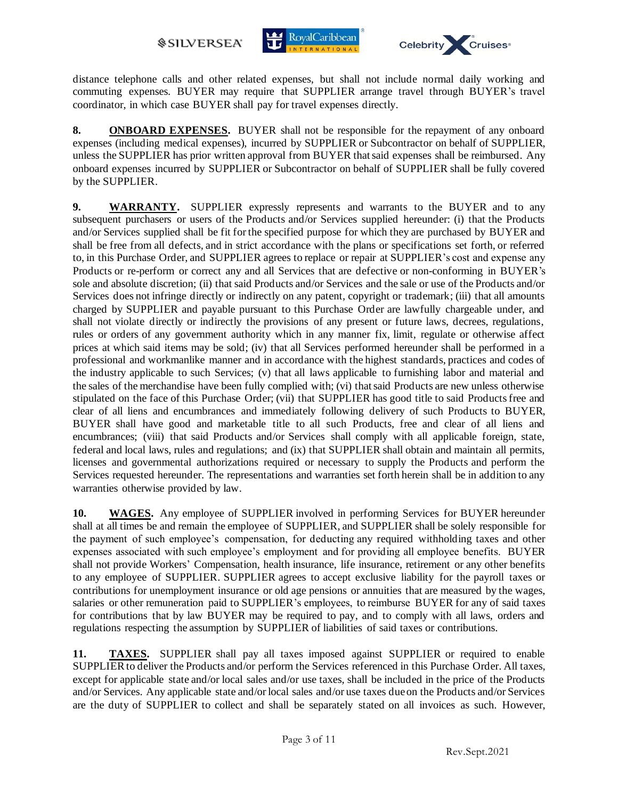



distance telephone calls and other related expenses, but shall not include normal daily working and commuting expenses. BUYER may require that SUPPLIER arrange travel through BUYER's travel coordinator, in which case BUYER shall pay for travel expenses directly.

**8. ONBOARD EXPENSES.** BUYER shall not be responsible for the repayment of any onboard expenses (including medical expenses), incurred by SUPPLIER or Subcontractor on behalf of SUPPLIER, unless the SUPPLIER has prior written approval from BUYER that said expenses shall be reimbursed. Any onboard expenses incurred by SUPPLIER or Subcontractor on behalf of SUPPLIER shall be fully covered by the SUPPLIER.

**9. WARRANTY.** SUPPLIER expressly represents and warrants to the BUYER and to any subsequent purchasers or users of the Products and/or Services supplied hereunder: (i) that the Products and/or Services supplied shall be fit for the specified purpose for which they are purchased by BUYER and shall be free from all defects, and in strict accordance with the plans or specifications set forth, or referred to, in this Purchase Order, and SUPPLIER agrees to replace or repair at SUPPLIER's cost and expense any Products or re-perform or correct any and all Services that are defective or non-conforming in BUYER's sole and absolute discretion; (ii) that said Products and/or Services and the sale or use of the Products and/or Services does not infringe directly or indirectly on any patent, copyright or trademark; (iii) that all amounts charged by SUPPLIER and payable pursuant to this Purchase Order are lawfully chargeable under, and shall not violate directly or indirectly the provisions of any present or future laws, decrees, regulations, rules or orders of any government authority which in any manner fix, limit, regulate or otherwise affect prices at which said items may be sold; (iv) that all Services performed hereunder shall be performed in a professional and workmanlike manner and in accordance with the highest standards, practices and codes of the industry applicable to such Services; (v) that all laws applicable to furnishing labor and material and the sales of the merchandise have been fully complied with; (vi) that said Products are new unless otherwise stipulated on the face of this Purchase Order; (vii) that SUPPLIER has good title to said Products free and clear of all liens and encumbrances and immediately following delivery of such Products to BUYER, BUYER shall have good and marketable title to all such Products, free and clear of all liens and encumbrances; (viii) that said Products and/or Services shall comply with all applicable foreign, state, federal and local laws, rules and regulations; and (ix) that SUPPLIER shall obtain and maintain all permits, licenses and governmental authorizations required or necessary to supply the Products and perform the Services requested hereunder. The representations and warranties set forth herein shall be in addition to any warranties otherwise provided by law.

**10. WAGES.** Any employee of SUPPLIER involved in performing Services for BUYER hereunder shall at all times be and remain the employee of SUPPLIER, and SUPPLIER shall be solely responsible for the payment of such employee's compensation, for deducting any required withholding taxes and other expenses associated with such employee's employment and for providing all employee benefits. BUYER shall not provide Workers' Compensation, health insurance, life insurance, retirement or any other benefits to any employee of SUPPLIER. SUPPLIER agrees to accept exclusive liability for the payroll taxes or contributions for unemployment insurance or old age pensions or annuities that are measured by the wages, salaries or other remuneration paid to SUPPLIER's employees, to reimburse BUYER for any of said taxes for contributions that by law BUYER may be required to pay, and to comply with all laws, orders and regulations respecting the assumption by SUPPLIER of liabilities of said taxes or contributions.

**11. TAXES.** SUPPLIER shall pay all taxes imposed against SUPPLIER or required to enable SUPPLIER to deliver the Products and/or perform the Services referenced in this Purchase Order. All taxes, except for applicable state and/or local sales and/or use taxes, shall be included in the price of the Products and/or Services. Any applicable state and/or local sales and/or use taxes due on the Products and/or Services are the duty of SUPPLIER to collect and shall be separately stated on all invoices as such. However,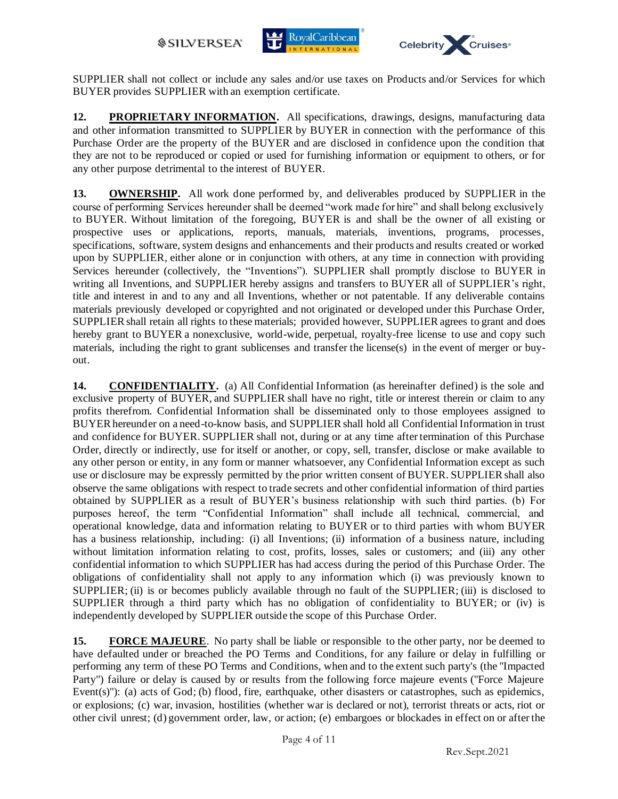



SUPPLIER shall not collect or include any sales and/or use taxes on Products and/or Services for which BUYER provides SUPPLIER with an exemption certificate.

**12. PROPRIETARY INFORMATION.** All specifications, drawings, designs, manufacturing data and other information transmitted to SUPPLIER by BUYER in connection with the performance of this Purchase Order are the property of the BUYER and are disclosed in confidence upon the condition that they are not to be reproduced or copied or used for furnishing information or equipment to others, or for any other purpose detrimental to the interest of BUYER.

**13. OWNERSHIP.** All work done performed by, and deliverables produced by SUPPLIER in the course of performing Services hereunder shall be deemed "work made for hire" and shall belong exclusively to BUYER. Without limitation of the foregoing, BUYER is and shall be the owner of all existing or prospective uses or applications, reports, manuals, materials, inventions, programs, processes, specifications, software, system designs and enhancements and their products and results created or worked upon by SUPPLIER, either alone or in conjunction with others, at any time in connection with providing Services hereunder (collectively, the "Inventions"). SUPPLIER shall promptly disclose to BUYER in writing all Inventions, and SUPPLIER hereby assigns and transfers to BUYER all of SUPPLIER's right, title and interest in and to any and all Inventions, whether or not patentable. If any deliverable contains materials previously developed or copyrighted and not originated or developed under this Purchase Order, SUPPLIER shall retain all rights to these materials; provided however, SUPPLIER agrees to grant and does hereby grant to BUYER a nonexclusive, world-wide, perpetual, royalty-free license to use and copy such materials, including the right to grant sublicenses and transfer the license(s) in the event of merger or buyout.

**14. CONFIDENTIALITY.** (a) All Confidential Information (as hereinafter defined) is the sole and exclusive property of BUYER, and SUPPLIER shall have no right, title or interest therein or claim to any profits therefrom. Confidential Information shall be disseminated only to those employees assigned to BUYER hereunder on a need-to-know basis, and SUPPLIER shall hold all Confidential Information in trust and confidence for BUYER. SUPPLIER shall not, during or at any time after termination of this Purchase Order, directly or indirectly, use for itself or another, or copy, sell, transfer, disclose or make available to any other person or entity, in any form or manner whatsoever, any Confidential Information except as such use or disclosure may be expressly permitted by the prior written consent of BUYER. SUPPLIER shall also observe the same obligations with respect to trade secrets and other confidential information of third parties obtained by SUPPLIER as a result of BUYER's business relationship with such third parties. (b) For purposes hereof, the term "Confidential Information" shall include all technical, commercial, and operational knowledge, data and information relating to BUYER or to third parties with whom BUYER has a business relationship, including: (i) all Inventions; (ii) information of a business nature, including without limitation information relating to cost, profits, losses, sales or customers; and (iii) any other confidential information to which SUPPLIER has had access during the period of this Purchase Order. The obligations of confidentiality shall not apply to any information which (i) was previously known to SUPPLIER; (ii) is or becomes publicly available through no fault of the SUPPLIER; (iii) is disclosed to SUPPLIER through a third party which has no obligation of confidentiality to BUYER; or (iv) is independently developed by SUPPLIER outside the scope of this Purchase Order.

**15. FORCE MAJEURE**. No party shall be liable or responsible to the other party, nor be deemed to have defaulted under or breached the PO Terms and Conditions, for any failure or delay in fulfilling or performing any term of these PO Terms and Conditions, when and to the extent such party's (the "Impacted Party") failure or delay is caused by or results from the following force majeure events ("Force Majeure Event(s)"): (a) acts of God; (b) flood, fire, earthquake, other disasters or catastrophes, such as epidemics, or explosions; (c) war, invasion, hostilities (whether war is declared or not), terrorist threats or acts, riot or other civil unrest; (d) government order, law, or action; (e) embargoes or blockades in effect on or after the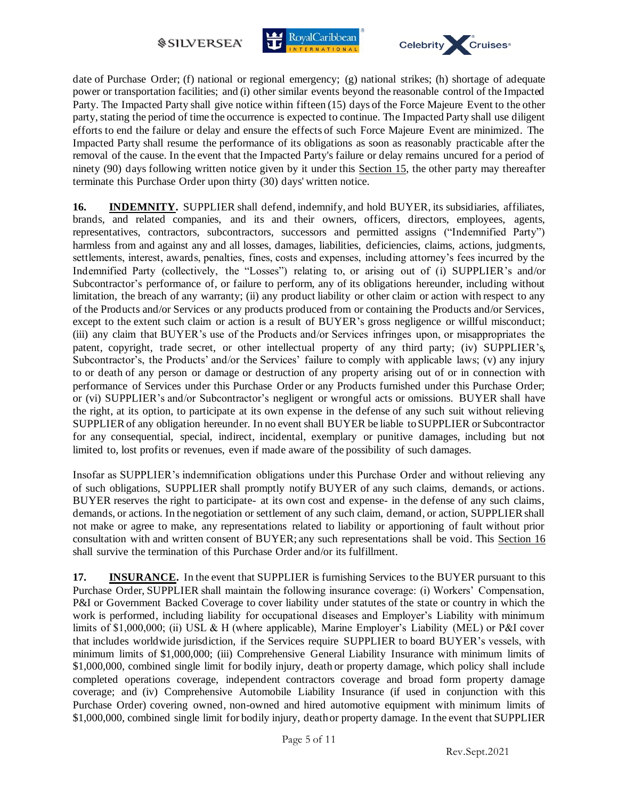



date of Purchase Order; (f) national or regional emergency; (g) national strikes; (h) shortage of adequate power or transportation facilities; and (i) other similar events beyond the reasonable control of the Impacted Party. The Impacted Party shall give notice within fifteen (15) days of the Force Majeure Event to the other party, stating the period of time the occurrence is expected to continue. The Impacted Party shall use diligent efforts to end the failure or delay and ensure the effects of such Force Majeure Event are minimized. The Impacted Party shall resume the performance of its obligations as soon as reasonably practicable after the removal of the cause. In the event that the Impacted Party's failure or delay remains uncured for a period of ninety (90) days following written notice given by it under this Section 15, the other party may thereafter terminate this Purchase Order upon thirty (30) days' written notice.

**16. INDEMNITY.** SUPPLIER shall defend, indemnify, and hold BUYER, its subsidiaries, affiliates, brands, and related companies, and its and their owners, officers, directors, employees, agents, representatives, contractors, subcontractors, successors and permitted assigns ("Indemnified Party") harmless from and against any and all losses, damages, liabilities, deficiencies, claims, actions, judgments, settlements, interest, awards, penalties, fines, costs and expenses, including attorney's fees incurred by the Indemnified Party (collectively, the "Losses") relating to, or arising out of (i) SUPPLIER's and/or Subcontractor's performance of, or failure to perform, any of its obligations hereunder, including without limitation, the breach of any warranty; (ii) any product liability or other claim or action with respect to any of the Products and/or Services or any products produced from or containing the Products and/or Services, except to the extent such claim or action is a result of BUYER's gross negligence or willful misconduct; (iii) any claim that BUYER's use of the Products and/or Services infringes upon, or misappropriates the patent, copyright, trade secret, or other intellectual property of any third party; (iv) SUPPLIER's, Subcontractor's, the Products' and/or the Services' failure to comply with applicable laws; (v) any injury to or death of any person or damage or destruction of any property arising out of or in connection with performance of Services under this Purchase Order or any Products furnished under this Purchase Order; or (vi) SUPPLIER's and/or Subcontractor's negligent or wrongful acts or omissions. BUYER shall have the right, at its option, to participate at its own expense in the defense of any such suit without relieving SUPPLIER of any obligation hereunder. In no event shall BUYER be liable to SUPPLIER or Subcontractor for any consequential, special, indirect, incidental, exemplary or punitive damages, including but not limited to, lost profits or revenues, even if made aware of the possibility of such damages.

Insofar as SUPPLIER's indemnification obligations under this Purchase Order and without relieving any of such obligations, SUPPLIER shall promptly notify BUYER of any such claims, demands, or actions. BUYER reserves the right to participate- at its own cost and expense- in the defense of any such claims, demands, or actions. In the negotiation or settlement of any such claim, demand, or action, SUPPLIER shall not make or agree to make, any representations related to liability or apportioning of fault without prior consultation with and written consent of BUYER; any such representations shall be void. This Section 16 shall survive the termination of this Purchase Order and/or its fulfillment.

**17. INSURANCE.** In the event that SUPPLIER is furnishing Services to the BUYER pursuant to this Purchase Order, SUPPLIER shall maintain the following insurance coverage: (i) Workers' Compensation, P&I or Government Backed Coverage to cover liability under statutes of the state or country in which the work is performed, including liability for occupational diseases and Employer's Liability with minimum limits of \$1,000,000; (ii) USL & H (where applicable), Marine Employer's Liability (MEL) or P&I cover that includes worldwide jurisdiction, if the Services require SUPPLIER to board BUYER's vessels, with minimum limits of \$1,000,000; (iii) Comprehensive General Liability Insurance with minimum limits of \$1,000,000, combined single limit for bodily injury, death or property damage, which policy shall include completed operations coverage, independent contractors coverage and broad form property damage coverage; and (iv) Comprehensive Automobile Liability Insurance (if used in conjunction with this Purchase Order) covering owned, non-owned and hired automotive equipment with minimum limits of \$1,000,000, combined single limit for bodily injury, death or property damage. In the event that SUPPLIER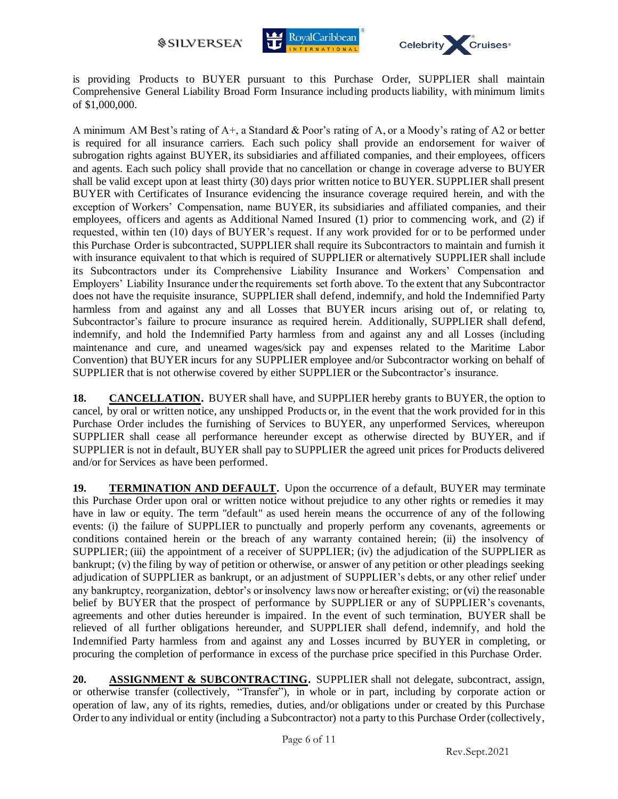



is providing Products to BUYER pursuant to this Purchase Order, SUPPLIER shall maintain Comprehensive General Liability Broad Form Insurance including products liability, with minimum limits of \$1,000,000.

A minimum AM Best's rating of A+, a Standard & Poor's rating of A, or a Moody's rating of A2 or better is required for all insurance carriers. Each such policy shall provide an endorsement for waiver of subrogation rights against BUYER, its subsidiaries and affiliated companies, and their employees, officers and agents. Each such policy shall provide that no cancellation or change in coverage adverse to BUYER shall be valid except upon at least thirty (30) days prior written notice to BUYER. SUPPLIER shall present BUYER with Certificates of Insurance evidencing the insurance coverage required herein, and with the exception of Workers' Compensation, name BUYER, its subsidiaries and affiliated companies, and their employees, officers and agents as Additional Named Insured (1) prior to commencing work, and (2) if requested, within ten (10) days of BUYER's request. If any work provided for or to be performed under this Purchase Order is subcontracted, SUPPLIER shall require its Subcontractors to maintain and furnish it with insurance equivalent to that which is required of SUPPLIER or alternatively SUPPLIER shall include its Subcontractors under its Comprehensive Liability Insurance and Workers' Compensation and Employers' Liability Insurance under the requirements set forth above. To the extent that any Subcontractor does not have the requisite insurance, SUPPLIER shall defend, indemnify, and hold the Indemnified Party harmless from and against any and all Losses that BUYER incurs arising out of, or relating to, Subcontractor's failure to procure insurance as required herein. Additionally, SUPPLIER shall defend, indemnify, and hold the Indemnified Party harmless from and against any and all Losses (including maintenance and cure, and unearned wages/sick pay and expenses related to the Maritime Labor Convention) that BUYER incurs for any SUPPLIER employee and/or Subcontractor working on behalf of SUPPLIER that is not otherwise covered by either SUPPLIER or the Subcontractor's insurance.

**18. CANCELLATION.** BUYER shall have, and SUPPLIER hereby grants to BUYER, the option to cancel, by oral or written notice, any unshipped Products or, in the event that the work provided for in this Purchase Order includes the furnishing of Services to BUYER, any unperformed Services, whereupon SUPPLIER shall cease all performance hereunder except as otherwise directed by BUYER, and if SUPPLIER is not in default, BUYER shall pay to SUPPLIER the agreed unit prices for Products delivered and/or for Services as have been performed.

**19. TERMINATION AND DEFAULT.** Upon the occurrence of a default, BUYER may terminate this Purchase Order upon oral or written notice without prejudice to any other rights or remedies it may have in law or equity. The term "default" as used herein means the occurrence of any of the following events: (i) the failure of SUPPLIER to punctually and properly perform any covenants, agreements or conditions contained herein or the breach of any warranty contained herein; (ii) the insolvency of SUPPLIER; (iii) the appointment of a receiver of SUPPLIER; (iv) the adjudication of the SUPPLIER as bankrupt; (v) the filing by way of petition or otherwise, or answer of any petition or other pleadings seeking adjudication of SUPPLIER as bankrupt, or an adjustment of SUPPLIER's debts, or any other relief under any bankruptcy, reorganization, debtor's or insolvency laws now or hereafter existing; or (vi) the reasonable belief by BUYER that the prospect of performance by SUPPLIER or any of SUPPLIER's covenants, agreements and other duties hereunder is impaired. In the event of such termination, BUYER shall be relieved of all further obligations hereunder, and SUPPLIER shall defend, indemnify, and hold the Indemnified Party harmless from and against any and Losses incurred by BUYER in completing, or procuring the completion of performance in excess of the purchase price specified in this Purchase Order.

**20. ASSIGNMENT & SUBCONTRACTING.** SUPPLIER shall not delegate, subcontract, assign, or otherwise transfer (collectively, "Transfer"), in whole or in part, including by corporate action or operation of law, any of its rights, remedies, duties, and/or obligations under or created by this Purchase Order to any individual or entity (including a Subcontractor) not a party to this Purchase Order (collectively,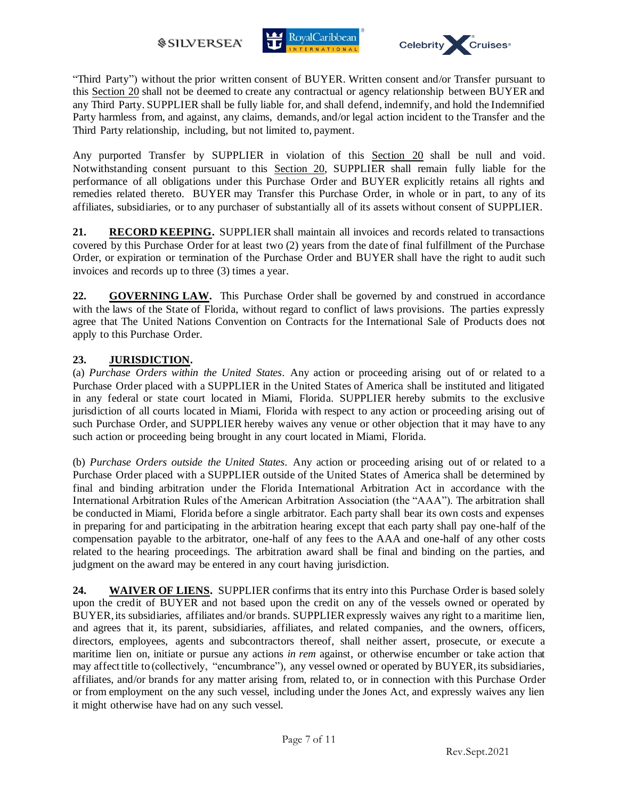



"Third Party") without the prior written consent of BUYER. Written consent and/or Transfer pursuant to this Section 20 shall not be deemed to create any contractual or agency relationship between BUYER and any Third Party. SUPPLIER shall be fully liable for, and shall defend, indemnify, and hold the Indemnified Party harmless from, and against, any claims, demands, and/or legal action incident to the Transfer and the Third Party relationship, including, but not limited to, payment.

Any purported Transfer by SUPPLIER in violation of this Section 20 shall be null and void. Notwithstanding consent pursuant to this Section 20, SUPPLIER shall remain fully liable for the performance of all obligations under this Purchase Order and BUYER explicitly retains all rights and remedies related thereto. BUYER may Transfer this Purchase Order, in whole or in part, to any of its affiliates, subsidiaries, or to any purchaser of substantially all of its assets without consent of SUPPLIER.

21. **RECORD KEEPING.** SUPPLIER shall maintain all invoices and records related to transactions covered by this Purchase Order for at least two (2) years from the date of final fulfillment of the Purchase Order, or expiration or termination of the Purchase Order and BUYER shall have the right to audit such invoices and records up to three (3) times a year.

**22. GOVERNING LAW.** This Purchase Order shall be governed by and construed in accordance with the laws of the State of Florida, without regard to conflict of laws provisions. The parties expressly agree that The United Nations Convention on Contracts for the International Sale of Products does not apply to this Purchase Order.

## **23. JURISDICTION.**

(a) *Purchase Orders within the United States*. Any action or proceeding arising out of or related to a Purchase Order placed with a SUPPLIER in the United States of America shall be instituted and litigated in any federal or state court located in Miami, Florida. SUPPLIER hereby submits to the exclusive jurisdiction of all courts located in Miami, Florida with respect to any action or proceeding arising out of such Purchase Order, and SUPPLIER hereby waives any venue or other objection that it may have to any such action or proceeding being brought in any court located in Miami, Florida.

(b) *Purchase Orders outside the United States*. Any action or proceeding arising out of or related to a Purchase Order placed with a SUPPLIER outside of the United States of America shall be determined by final and binding arbitration under the Florida International Arbitration Act in accordance with the International Arbitration Rules of the American Arbitration Association (the "AAA"). The arbitration shall be conducted in Miami, Florida before a single arbitrator. Each party shall bear its own costs and expenses in preparing for and participating in the arbitration hearing except that each party shall pay one-half of the compensation payable to the arbitrator, one-half of any fees to the AAA and one-half of any other costs related to the hearing proceedings. The arbitration award shall be final and binding on the parties, and judgment on the award may be entered in any court having jurisdiction.

**24. WAIVER OF LIENS.** SUPPLIER confirms that its entry into this Purchase Order is based solely upon the credit of BUYER and not based upon the credit on any of the vessels owned or operated by BUYER, its subsidiaries, affiliates and/or brands. SUPPLIER expressly waives any right to a maritime lien, and agrees that it, its parent, subsidiaries, affiliates, and related companies, and the owners, officers, directors, employees, agents and subcontractors thereof, shall neither assert, prosecute, or execute a maritime lien on, initiate or pursue any actions *in rem* against, or otherwise encumber or take action that may affect title to (collectively, "encumbrance"), any vessel owned or operated by BUYER, its subsidiaries, affiliates, and/or brands for any matter arising from, related to, or in connection with this Purchase Order or from employment on the any such vessel, including under the Jones Act, and expressly waives any lien it might otherwise have had on any such vessel.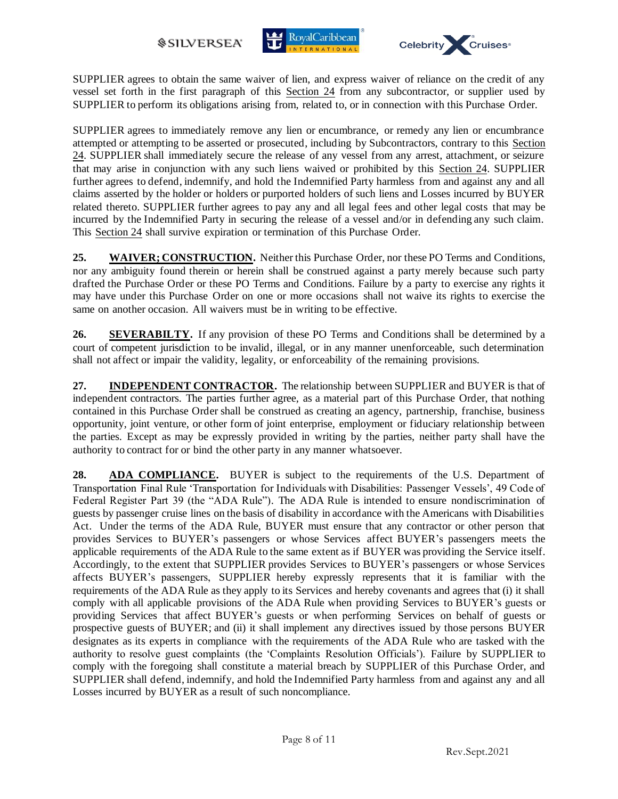



SUPPLIER agrees to obtain the same waiver of lien, and express waiver of reliance on the credit of any vessel set forth in the first paragraph of this Section 24 from any subcontractor, or supplier used by SUPPLIER to perform its obligations arising from, related to, or in connection with this Purchase Order.

SUPPLIER agrees to immediately remove any lien or encumbrance, or remedy any lien or encumbrance attempted or attempting to be asserted or prosecuted, including by Subcontractors, contrary to this Section 24. SUPPLIER shall immediately secure the release of any vessel from any arrest, attachment, or seizure that may arise in conjunction with any such liens waived or prohibited by this Section 24. SUPPLIER further agrees to defend, indemnify, and hold the Indemnified Party harmless from and against any and all claims asserted by the holder or holders or purported holders of such liens and Losses incurred by BUYER related thereto. SUPPLIER further agrees to pay any and all legal fees and other legal costs that may be incurred by the Indemnified Party in securing the release of a vessel and/or in defending any such claim. This Section 24 shall survive expiration or termination of this Purchase Order.

**25. WAIVER; CONSTRUCTION.** Neither this Purchase Order, nor these PO Terms and Conditions, nor any ambiguity found therein or herein shall be construed against a party merely because such party drafted the Purchase Order or these PO Terms and Conditions. Failure by a party to exercise any rights it may have under this Purchase Order on one or more occasions shall not waive its rights to exercise the same on another occasion. All waivers must be in writing to be effective.

**26. SEVERABILTY.** If any provision of these PO Terms and Conditions shall be determined by a court of competent jurisdiction to be invalid, illegal, or in any manner unenforceable, such determination shall not affect or impair the validity, legality, or enforceability of the remaining provisions.

**27. INDEPENDENT CONTRACTOR.** The relationship between SUPPLIER and BUYER is that of independent contractors. The parties further agree, as a material part of this Purchase Order, that nothing contained in this Purchase Order shall be construed as creating an agency, partnership, franchise, business opportunity, joint venture, or other form of joint enterprise, employment or fiduciary relationship between the parties. Except as may be expressly provided in writing by the parties, neither party shall have the authority to contract for or bind the other party in any manner whatsoever.

**28. ADA COMPLIANCE.** BUYER is subject to the requirements of the U.S. Department of Transportation Final Rule 'Transportation for Individuals with Disabilities: Passenger Vessels', 49 Code of Federal Register Part 39 (the "ADA Rule"). The ADA Rule is intended to ensure nondiscrimination of guests by passenger cruise lines on the basis of disability in accordance with the Americans with Disabilities Act. Under the terms of the ADA Rule, BUYER must ensure that any contractor or other person that provides Services to BUYER's passengers or whose Services affect BUYER's passengers meets the applicable requirements of the ADA Rule to the same extent as if BUYER was providing the Service itself. Accordingly, to the extent that SUPPLIER provides Services to BUYER's passengers or whose Services affects BUYER's passengers, SUPPLIER hereby expressly represents that it is familiar with the requirements of the ADA Rule as they apply to its Services and hereby covenants and agrees that (i) it shall comply with all applicable provisions of the ADA Rule when providing Services to BUYER's guests or providing Services that affect BUYER's guests or when performing Services on behalf of guests or prospective guests of BUYER; and (ii) it shall implement any directives issued by those persons BUYER designates as its experts in compliance with the requirements of the ADA Rule who are tasked with the authority to resolve guest complaints (the 'Complaints Resolution Officials'). Failure by SUPPLIER to comply with the foregoing shall constitute a material breach by SUPPLIER of this Purchase Order, and SUPPLIER shall defend, indemnify, and hold the Indemnified Party harmless from and against any and all Losses incurred by BUYER as a result of such noncompliance.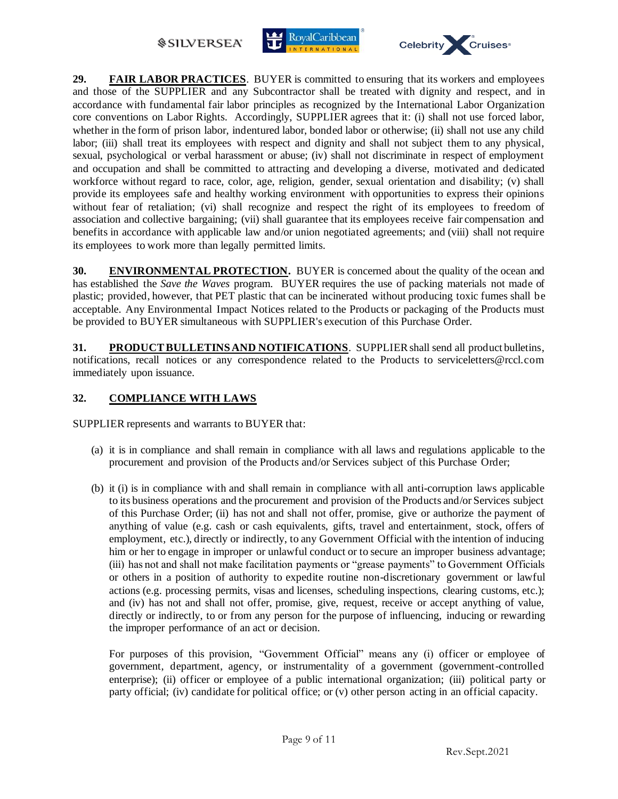## **@SILVERSEA**





**29. FAIR LABOR PRACTICES**. BUYER is committed to ensuring that its workers and employees and those of the SUPPLIER and any Subcontractor shall be treated with dignity and respect, and in accordance with fundamental fair labor principles as recognized by the International Labor Organization core conventions on Labor Rights. Accordingly, SUPPLIER agrees that it: (i) shall not use forced labor, whether in the form of prison labor, indentured labor, bonded labor or otherwise; (ii) shall not use any child labor; (iii) shall treat its employees with respect and dignity and shall not subject them to any physical, sexual, psychological or verbal harassment or abuse; (iv) shall not discriminate in respect of employment and occupation and shall be committed to attracting and developing a diverse, motivated and dedicated workforce without regard to race, color, age, religion, gender, sexual orientation and disability; (v) shall provide its employees safe and healthy working environment with opportunities to express their opinions without fear of retaliation; (vi) shall recognize and respect the right of its employees to freedom of association and collective bargaining; (vii) shall guarantee that its employees receive fair compensation and benefits in accordance with applicable law and/or union negotiated agreements; and (viii) shall not require its employees to work more than legally permitted limits.

**30. ENVIRONMENTAL PROTECTION.** BUYER is concerned about the quality of the ocean and has established the *Save the Waves* program. BUYER requires the use of packing materials not made of plastic; provided, however, that PET plastic that can be incinerated without producing toxic fumes shall be acceptable. Any Environmental Impact Notices related to the Products or packaging of the Products must be provided to BUYER simultaneous with SUPPLIER's execution of this Purchase Order.

**31. PRODUCT BULLETINS AND NOTIFICATIONS**. SUPPLIER shall send all product bulletins, notifications, recall notices or any correspondence related to the Products to serviceletters@rccl.com immediately upon issuance.

## **32. COMPLIANCE WITH LAWS**

SUPPLIER represents and warrants to BUYER that:

- (a) it is in compliance and shall remain in compliance with all laws and regulations applicable to the procurement and provision of the Products and/or Services subject of this Purchase Order;
- (b) it (i) is in compliance with and shall remain in compliance with all anti-corruption laws applicable to its business operations and the procurement and provision of the Products and/or Services subject of this Purchase Order; (ii) has not and shall not offer, promise, give or authorize the payment of anything of value (e.g. cash or cash equivalents, gifts, travel and entertainment, stock, offers of employment, etc.), directly or indirectly, to any Government Official with the intention of inducing him or her to engage in improper or unlawful conduct or to secure an improper business advantage; (iii) has not and shall not make facilitation payments or "grease payments" to Government Officials or others in a position of authority to expedite routine non-discretionary government or lawful actions (e.g. processing permits, visas and licenses, scheduling inspections, clearing customs, etc.); and (iv) has not and shall not offer, promise, give, request, receive or accept anything of value, directly or indirectly, to or from any person for the purpose of influencing, inducing or rewarding the improper performance of an act or decision.

For purposes of this provision, "Government Official" means any (i) officer or employee of government, department, agency, or instrumentality of a government (government-controlled enterprise); (ii) officer or employee of a public international organization; (iii) political party or party official; (iv) candidate for political office; or (v) other person acting in an official capacity.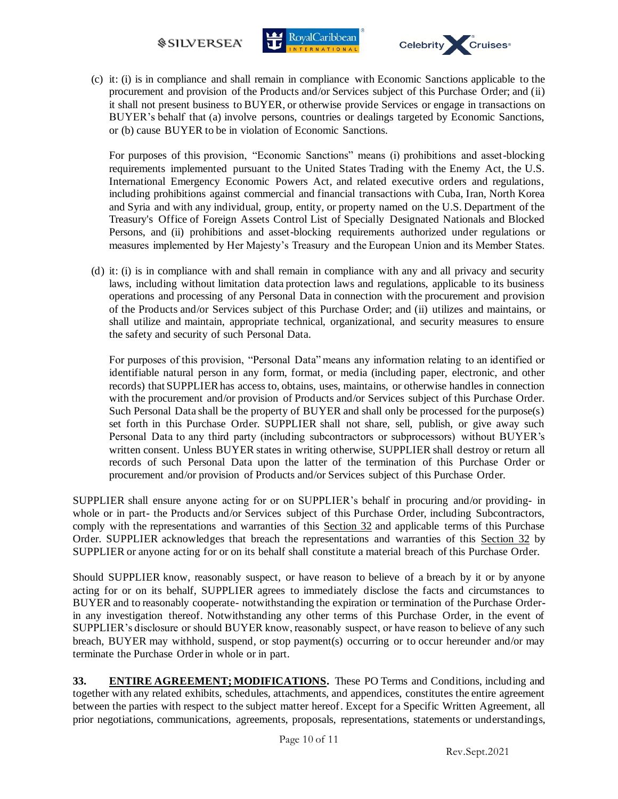



(c) it: (i) is in compliance and shall remain in compliance with Economic Sanctions applicable to the procurement and provision of the Products and/or Services subject of this Purchase Order; and (ii) it shall not present business to BUYER, or otherwise provide Services or engage in transactions on BUYER's behalf that (a) involve persons, countries or dealings targeted by Economic Sanctions, or (b) cause BUYER to be in violation of Economic Sanctions.

For purposes of this provision, "Economic Sanctions" means (i) prohibitions and asset-blocking requirements implemented pursuant to the United States Trading with the Enemy Act, the U.S. International Emergency Economic Powers Act, and related executive orders and regulations, including prohibitions against commercial and financial transactions with Cuba, Iran, North Korea and Syria and with any individual, group, entity, or property named on the U.S. Department of the Treasury's Office of Foreign Assets Control List of Specially Designated Nationals and Blocked Persons, and (ii) prohibitions and asset-blocking requirements authorized under regulations or measures implemented by Her Majesty's Treasury and the European Union and its Member States.

(d) it: (i) is in compliance with and shall remain in compliance with any and all privacy and security laws, including without limitation data protection laws and regulations, applicable to its business operations and processing of any Personal Data in connection with the procurement and provision of the Products and/or Services subject of this Purchase Order; and (ii) utilizes and maintains, or shall utilize and maintain, appropriate technical, organizational, and security measures to ensure the safety and security of such Personal Data.

For purposes of this provision, "Personal Data" means any information relating to an identified or identifiable natural person in any form, format, or media (including paper, electronic, and other records) that SUPPLIER has access to, obtains, uses, maintains, or otherwise handles in connection with the procurement and/or provision of Products and/or Services subject of this Purchase Order. Such Personal Data shall be the property of BUYER and shall only be processed for the purpose(s) set forth in this Purchase Order. SUPPLIER shall not share, sell, publish, or give away such Personal Data to any third party (including subcontractors or subprocessors) without BUYER's written consent. Unless BUYER states in writing otherwise, SUPPLIER shall destroy or return all records of such Personal Data upon the latter of the termination of this Purchase Order or procurement and/or provision of Products and/or Services subject of this Purchase Order.

SUPPLIER shall ensure anyone acting for or on SUPPLIER's behalf in procuring and/or providing- in whole or in part- the Products and/or Services subject of this Purchase Order, including Subcontractors, comply with the representations and warranties of this Section 32 and applicable terms of this Purchase Order. SUPPLIER acknowledges that breach the representations and warranties of this Section 32 by SUPPLIER or anyone acting for or on its behalf shall constitute a material breach of this Purchase Order.

Should SUPPLIER know, reasonably suspect, or have reason to believe of a breach by it or by anyone acting for or on its behalf, SUPPLIER agrees to immediately disclose the facts and circumstances to BUYER and to reasonably cooperate- notwithstanding the expiration or termination of the Purchase Orderin any investigation thereof. Notwithstanding any other terms of this Purchase Order, in the event of SUPPLIER's disclosure or should BUYER know, reasonably suspect, or have reason to believe of any such breach, BUYER may withhold, suspend, or stop payment(s) occurring or to occur hereunder and/or may terminate the Purchase Order in whole or in part.

**33. ENTIRE AGREEMENT; MODIFICATIONS.** These PO Terms and Conditions, including and together with any related exhibits, schedules, attachments, and appendices, constitutes the entire agreement between the parties with respect to the subject matter hereof. Except for a Specific Written Agreement, all prior negotiations, communications, agreements, proposals, representations, statements or understandings,